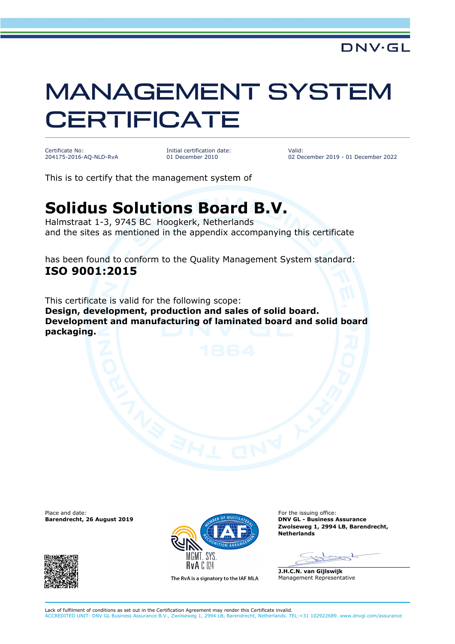## MANAGEMENT SYSTEM **CERTIFICATE**

Certificate No: 204175-2016-AQ-NLD-RvA Initial certification date: 01 December 2010

Valid: 02 December 2019 - 01 December 2022

This is to certify that the management system of

## **Solidus Solutions Board B.V.**

Halmstraat 1-3, 9745 BC Hoogkerk, Netherlands and the sites as mentioned in the appendix accompanying this certificate

has been found to conform to the Quality Management System standard: **ISO 9001:2015**

This certificate is valid for the following scope: **Design, development, production and sales of solid board. Development and manufacturing of laminated board and solid board packaging.**





The RyA is a signatory to the IAF MLA

**BAY GL - Business Assurance Zwolseweg 1, 2994 LB, Barendrecht, Netherlands**

**J.H.C.N. van Gijlswijk** Management Representative

Lack of fulfilment of conditions as set out in the Certification Agreement may render this Certificate invalid.

ACCREDITED UNIT: DNV GL Business Assurance B.V., Zwolseweg 1, 2994 LB, Barendrecht, Netherlands. TEL:+31 102922689. www.dnvgl.com/assurance